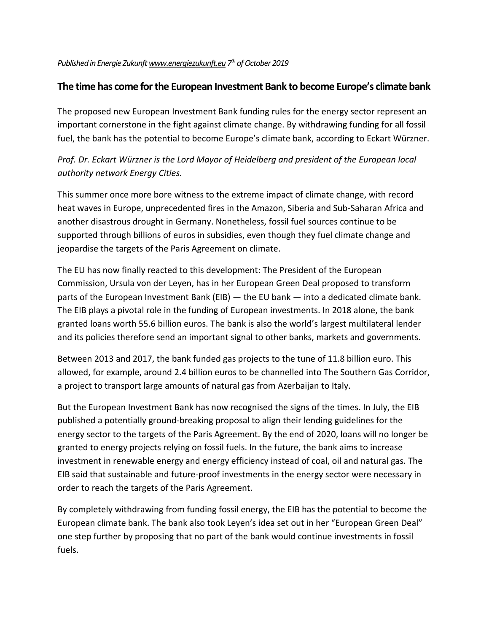## *PublishedinEnergie Zukunf[twww.energiezukunft.eu](http://www.energiezukunft.eu/) 7 th ofOctober 2019*

## **The time has come forthe European Investment Bank to become Europe's climate bank**

The proposed new European Investment Bank funding rules for the energy sector represent an important cornerstone in the fight against climate change. By withdrawing funding for all fossil fuel, the bank has the potential to become Europe's climate bank, according to Eckart Würzner.

## *Prof. Dr. Eckart Würzner is the Lord Mayor of Heidelberg and president of the European local authority network Energy Cities.*

This summer once more bore witness to the extreme impact of climate change, with record heat waves in Europe, unprecedented fires in the Amazon, Siberia and Sub-Saharan Africa and another disastrous drought in Germany. Nonetheless, fossil fuel sources continue to be supported through billions of euros in subsidies, even though they fuel climate change and jeopardise the targets of the Paris Agreement on climate.

The EU has now finally reacted to this development: The President of the European Commission, Ursula von der Leyen, has in her European Green Deal proposed to transform parts of the European Investment Bank (EIB) — the EU bank — into a dedicated climate bank. The EIB plays a pivotal role in the funding of European investments. In 2018 alone, the bank granted loans worth 55.6 billion euros. The bank is also the world's largest multilateral lender and its policies therefore send an important signal to other banks, markets and governments.

Between 2013 and 2017, the bank funded gas projects to the tune of 11.8 billion euro. This allowed, for example, around 2.4 billion euros to be channelled into The Southern Gas Corridor, a project to transport large amounts of natural gas from Azerbaijan to Italy.

But the European Investment Bank has now recognised the signs of the times. In July, the EIB published a potentially ground-breaking proposal to align their lending guidelines for the energy sector to the targets of the Paris Agreement. By the end of 2020, loans will no longer be granted to energy projects relying on fossil fuels. In the future, the bank aims to increase investment in renewable energy and energy efficiency instead of coal, oil and natural gas. The EIB said that sustainable and future-proof investments in the energy sector were necessary in order to reach the targets of the Paris Agreement.

By completely withdrawing from funding fossil energy, the EIB has the potential to become the European climate bank. The bank also took Leyen's idea set out in her "European Green Deal" one step further by proposing that no part of the bank would continue investments in fossil fuels.